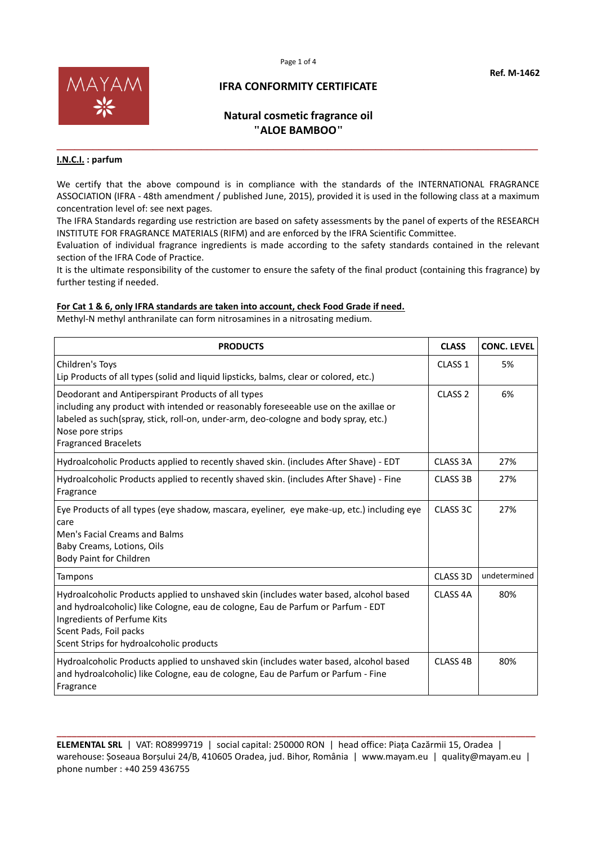



### **Natural cosmetic fragrance oil "ALOE BAMBOO"**

**\_\_\_\_\_\_\_\_\_\_\_\_\_\_\_\_\_\_\_\_\_\_\_\_\_\_\_\_\_\_\_\_\_\_\_\_\_\_\_\_\_\_\_\_\_\_\_\_\_\_\_\_\_\_\_\_\_\_\_\_\_\_\_\_\_\_\_\_\_\_\_\_\_\_\_\_\_\_\_\_**

#### **I.N.C.I. : parfum**

We certify that the above compound is in compliance with the standards of the INTERNATIONAL FRAGRANCE ASSOCIATION (IFRA - 48th amendment / published June, 2015), provided it is used in the following class at a maximum concentration level of: see next pages.

The IFRA Standards regarding use restriction are based on safety assessments by the panel of experts of the RESEARCH INSTITUTE FOR FRAGRANCE MATERIALS (RIFM) and are enforced by the IFRA Scientific Committee.

Evaluation of individual fragrance ingredients is made according to the safety standards contained in the relevant section of the IFRA Code of Practice.

It is the ultimate responsibility of the customer to ensure the safety of the final product (containing this fragrance) by further testing if needed.

#### **For Cat 1 & 6, only IFRA standards are taken into account, check Food Grade if need.**

Methyl-N methyl anthranilate can form nitrosamines in a nitrosating medium.

| <b>PRODUCTS</b>                                                                                                                                                                                                                                                                     | <b>CLASS</b>        | <b>CONC. LEVEL</b> |
|-------------------------------------------------------------------------------------------------------------------------------------------------------------------------------------------------------------------------------------------------------------------------------------|---------------------|--------------------|
| Children's Toys<br>Lip Products of all types (solid and liquid lipsticks, balms, clear or colored, etc.)                                                                                                                                                                            | CLASS <sub>1</sub>  | 5%                 |
| Deodorant and Antiperspirant Products of all types<br>including any product with intended or reasonably foreseeable use on the axillae or<br>labeled as such(spray, stick, roll-on, under-arm, deo-cologne and body spray, etc.)<br>Nose pore strips<br><b>Fragranced Bracelets</b> | CLASS <sub>2</sub>  | 6%                 |
| Hydroalcoholic Products applied to recently shaved skin. (includes After Shave) - EDT                                                                                                                                                                                               | CLASS 3A            | 27%                |
| Hydroalcoholic Products applied to recently shaved skin. (includes After Shave) - Fine<br>Fragrance                                                                                                                                                                                 | <b>CLASS 3B</b>     | 27%                |
| Eye Products of all types (eye shadow, mascara, eyeliner, eye make-up, etc.) including eye<br>care<br>Men's Facial Creams and Balms<br>Baby Creams, Lotions, Oils<br>Body Paint for Children                                                                                        | CLASS 3C            | 27%                |
| Tampons                                                                                                                                                                                                                                                                             | CLASS 3D            | undetermined       |
| Hydroalcoholic Products applied to unshaved skin (includes water based, alcohol based<br>and hydroalcoholic) like Cologne, eau de cologne, Eau de Parfum or Parfum - EDT<br>Ingredients of Perfume Kits<br>Scent Pads, Foil packs<br>Scent Strips for hydroalcoholic products       | CLASS <sub>4A</sub> | 80%                |
| Hydroalcoholic Products applied to unshaved skin (includes water based, alcohol based<br>and hydroalcoholic) like Cologne, eau de cologne, Eau de Parfum or Parfum - Fine<br>Fragrance                                                                                              | CLASS <sub>4B</sub> | 80%                |

**\_\_\_\_\_\_\_\_\_\_\_\_\_\_\_\_\_\_\_\_\_\_\_\_\_\_\_\_\_\_\_\_\_\_\_\_\_\_\_\_\_\_\_\_\_\_\_\_\_\_\_\_\_\_\_\_\_\_\_\_\_\_\_\_\_\_\_\_\_\_\_\_\_\_\_\_\_\_\_\_\_\_\_\_\_\_\_\_\_\_\_\_\_\_\_\_ ELEMENTAL SRL** | VAT: RO8999719 | social capital: 250000 RON | head office: Piața Cazărmii 15, Oradea | warehouse: Șoseaua Borșului 24/B, 410605 Oradea, jud. Bihor, România | www.mayam.eu | quality@mayam.eu | phone number : +40 259 436755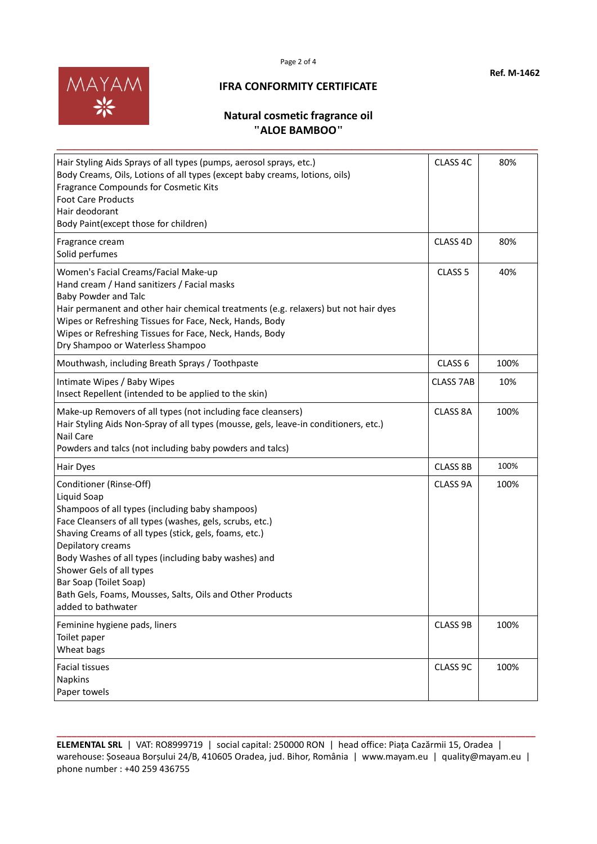



## **Natural cosmetic fragrance oil "ALOE BAMBOO"**

**\_\_\_\_\_\_\_\_\_\_\_\_\_\_\_\_\_\_\_\_\_\_\_\_\_\_\_\_\_\_\_\_\_\_\_\_\_\_\_\_\_\_\_\_\_\_\_\_\_\_\_\_\_\_\_\_\_\_\_\_\_\_\_\_\_\_\_\_\_\_\_\_\_\_\_\_\_\_\_\_**

| Hair Styling Aids Sprays of all types (pumps, aerosol sprays, etc.)<br>Body Creams, Oils, Lotions of all types (except baby creams, lotions, oils)<br>Fragrance Compounds for Cosmetic Kits<br><b>Foot Care Products</b><br>Hair deodorant<br>Body Paint(except those for children)                                                                                                                                                   | CLASS 4C           | 80%  |
|---------------------------------------------------------------------------------------------------------------------------------------------------------------------------------------------------------------------------------------------------------------------------------------------------------------------------------------------------------------------------------------------------------------------------------------|--------------------|------|
| Fragrance cream<br>Solid perfumes                                                                                                                                                                                                                                                                                                                                                                                                     | CLASS 4D           | 80%  |
| Women's Facial Creams/Facial Make-up<br>Hand cream / Hand sanitizers / Facial masks<br>Baby Powder and Talc<br>Hair permanent and other hair chemical treatments (e.g. relaxers) but not hair dyes<br>Wipes or Refreshing Tissues for Face, Neck, Hands, Body<br>Wipes or Refreshing Tissues for Face, Neck, Hands, Body<br>Dry Shampoo or Waterless Shampoo                                                                          | CLASS <sub>5</sub> | 40%  |
| Mouthwash, including Breath Sprays / Toothpaste                                                                                                                                                                                                                                                                                                                                                                                       | CLASS <sub>6</sub> | 100% |
| Intimate Wipes / Baby Wipes<br>Insect Repellent (intended to be applied to the skin)                                                                                                                                                                                                                                                                                                                                                  | <b>CLASS 7AB</b>   | 10%  |
| Make-up Removers of all types (not including face cleansers)<br>Hair Styling Aids Non-Spray of all types (mousse, gels, leave-in conditioners, etc.)<br>Nail Care<br>Powders and talcs (not including baby powders and talcs)                                                                                                                                                                                                         | CLASS 8A           | 100% |
| Hair Dyes                                                                                                                                                                                                                                                                                                                                                                                                                             | CLASS 8B           | 100% |
| Conditioner (Rinse-Off)<br>Liquid Soap<br>Shampoos of all types (including baby shampoos)<br>Face Cleansers of all types (washes, gels, scrubs, etc.)<br>Shaving Creams of all types (stick, gels, foams, etc.)<br>Depilatory creams<br>Body Washes of all types (including baby washes) and<br>Shower Gels of all types<br>Bar Soap (Toilet Soap)<br>Bath Gels, Foams, Mousses, Salts, Oils and Other Products<br>added to bathwater | CLASS 9A           | 100% |
| Feminine hygiene pads, liners<br>Toilet paper<br>Wheat bags                                                                                                                                                                                                                                                                                                                                                                           | CLASS 9B           | 100% |
| <b>Facial tissues</b><br><b>Napkins</b><br>Paper towels                                                                                                                                                                                                                                                                                                                                                                               | CLASS 9C           | 100% |

**ELEMENTAL SRL** | VAT: RO8999719 | social capital: 250000 RON | head office: Piața Cazărmii 15, Oradea | warehouse: Șoseaua Borșului 24/B, 410605 Oradea, jud. Bihor, România | www.mayam.eu | quality@mayam.eu | phone number : +40 259 436755

**\_\_\_\_\_\_\_\_\_\_\_\_\_\_\_\_\_\_\_\_\_\_\_\_\_\_\_\_\_\_\_\_\_\_\_\_\_\_\_\_\_\_\_\_\_\_\_\_\_\_\_\_\_\_\_\_\_\_\_\_\_\_\_\_\_\_\_\_\_\_\_\_\_\_\_\_\_\_\_\_\_\_\_\_\_\_\_\_\_\_\_\_\_\_\_\_**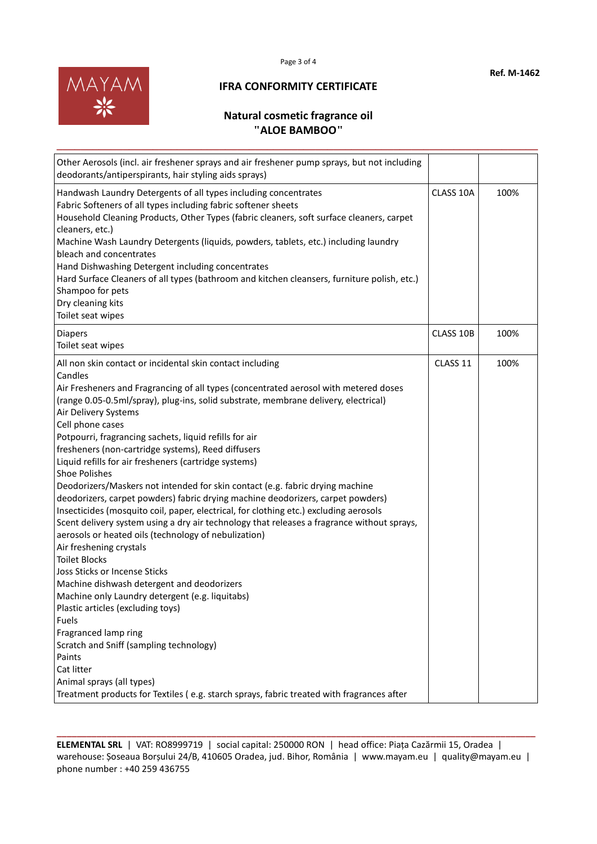



# **Natural cosmetic fragrance oil "ALOE BAMBOO"**

**\_\_\_\_\_\_\_\_\_\_\_\_\_\_\_\_\_\_\_\_\_\_\_\_\_\_\_\_\_\_\_\_\_\_\_\_\_\_\_\_\_\_\_\_\_\_\_\_\_\_\_\_\_\_\_\_\_\_\_\_\_\_\_\_\_\_\_\_\_\_\_\_\_\_\_\_\_\_\_\_**

| Other Aerosols (incl. air freshener sprays and air freshener pump sprays, but not including<br>deodorants/antiperspirants, hair styling aids sprays)                                                                                                                                                                                                                                                                                                                                                                                                                                                                                                                                                                                                                                                                                                                                                                                                                                                                                                                                                                                                                                                                                                                                                                                                                        |           |      |
|-----------------------------------------------------------------------------------------------------------------------------------------------------------------------------------------------------------------------------------------------------------------------------------------------------------------------------------------------------------------------------------------------------------------------------------------------------------------------------------------------------------------------------------------------------------------------------------------------------------------------------------------------------------------------------------------------------------------------------------------------------------------------------------------------------------------------------------------------------------------------------------------------------------------------------------------------------------------------------------------------------------------------------------------------------------------------------------------------------------------------------------------------------------------------------------------------------------------------------------------------------------------------------------------------------------------------------------------------------------------------------|-----------|------|
| Handwash Laundry Detergents of all types including concentrates<br>Fabric Softeners of all types including fabric softener sheets<br>Household Cleaning Products, Other Types (fabric cleaners, soft surface cleaners, carpet<br>cleaners, etc.)<br>Machine Wash Laundry Detergents (liquids, powders, tablets, etc.) including laundry<br>bleach and concentrates<br>Hand Dishwashing Detergent including concentrates<br>Hard Surface Cleaners of all types (bathroom and kitchen cleansers, furniture polish, etc.)<br>Shampoo for pets<br>Dry cleaning kits<br>Toilet seat wipes                                                                                                                                                                                                                                                                                                                                                                                                                                                                                                                                                                                                                                                                                                                                                                                        | CLASS 10A | 100% |
| <b>Diapers</b><br>Toilet seat wipes                                                                                                                                                                                                                                                                                                                                                                                                                                                                                                                                                                                                                                                                                                                                                                                                                                                                                                                                                                                                                                                                                                                                                                                                                                                                                                                                         | CLASS 10B | 100% |
| All non skin contact or incidental skin contact including<br>Candles<br>Air Fresheners and Fragrancing of all types (concentrated aerosol with metered doses<br>(range 0.05-0.5ml/spray), plug-ins, solid substrate, membrane delivery, electrical)<br>Air Delivery Systems<br>Cell phone cases<br>Potpourri, fragrancing sachets, liquid refills for air<br>fresheners (non-cartridge systems), Reed diffusers<br>Liquid refills for air fresheners (cartridge systems)<br><b>Shoe Polishes</b><br>Deodorizers/Maskers not intended for skin contact (e.g. fabric drying machine<br>deodorizers, carpet powders) fabric drying machine deodorizers, carpet powders)<br>Insecticides (mosquito coil, paper, electrical, for clothing etc.) excluding aerosols<br>Scent delivery system using a dry air technology that releases a fragrance without sprays,<br>aerosols or heated oils (technology of nebulization)<br>Air freshening crystals<br><b>Toilet Blocks</b><br>Joss Sticks or Incense Sticks<br>Machine dishwash detergent and deodorizers<br>Machine only Laundry detergent (e.g. liquitabs)<br>Plastic articles (excluding toys)<br>Fuels<br>Fragranced lamp ring<br>Scratch and Sniff (sampling technology)<br>Paints<br>Cat litter<br>Animal sprays (all types)<br>Treatment products for Textiles (e.g. starch sprays, fabric treated with fragrances after | CLASS 11  | 100% |

**ELEMENTAL SRL** | VAT: RO8999719 | social capital: 250000 RON | head office: Piața Cazărmii 15, Oradea | warehouse: Șoseaua Borșului 24/B, 410605 Oradea, jud. Bihor, România | www.mayam.eu | quality@mayam.eu | phone number : +40 259 436755

**\_\_\_\_\_\_\_\_\_\_\_\_\_\_\_\_\_\_\_\_\_\_\_\_\_\_\_\_\_\_\_\_\_\_\_\_\_\_\_\_\_\_\_\_\_\_\_\_\_\_\_\_\_\_\_\_\_\_\_\_\_\_\_\_\_\_\_\_\_\_\_\_\_\_\_\_\_\_\_\_\_\_\_\_\_\_\_\_\_\_\_\_\_\_\_\_**